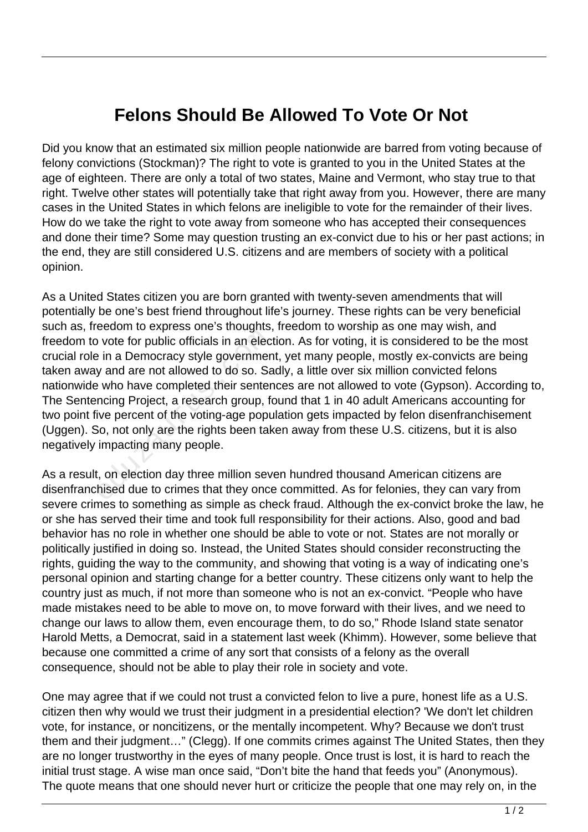## **Felons Should Be Allowed To Vote Or Not**

Did you know that an estimated six million people nationwide are barred from voting because of felony convictions (Stockman)? The right to vote is granted to you in the United States at the age of eighteen. There are only a total of two states, Maine and Vermont, who stay true to that right. Twelve other states will potentially take that right away from you. However, there are many cases in the United States in which felons are ineligible to vote for the remainder of their lives. How do we take the right to vote away from someone who has accepted their consequences and done their time? Some may question trusting an ex-convict due to his or her past actions; in the end, they are still considered U.S. citizens and are members of society with a political opinion.

As a United States citizen you are born granted with twenty-seven amendments that will potentially be one's best friend throughout life's journey. These rights can be very beneficial such as, freedom to express one's thoughts, freedom to worship as one may wish, and freedom to vote for public officials in an election. As for voting, it is considered to be the most crucial role in a Democracy style government, yet many people, mostly ex-convicts are being taken away and are not allowed to do so. Sadly, a little over six million convicted felons nationwide who have completed their sentences are not allowed to vote (Gypson). According to, The Sentencing Project, a research group, found that 1 in 40 adult Americans accounting for two point five percent of the voting-age population gets impacted by felon disenfranchisement (Uggen). So, not only are the rights been taken away from these U.S. citizens, but it is also negatively impacting many people. by vote for public officials in an election of the set in a Democracy style governmer<br>by and are not allowed to do so. Satisfy the set in the set of the set of the set of the voting-age populor in the voting-age populor of

As a result, on election day three million seven hundred thousand American citizens are disenfranchised due to crimes that they once committed. As for felonies, they can vary from severe crimes to something as simple as check fraud. Although the ex-convict broke the law, he or she has served their time and took full responsibility for their actions. Also, good and bad behavior has no role in whether one should be able to vote or not. States are not morally or politically justified in doing so. Instead, the United States should consider reconstructing the rights, guiding the way to the community, and showing that voting is a way of indicating one's personal opinion and starting change for a better country. These citizens only want to help the country just as much, if not more than someone who is not an ex-convict. "People who have made mistakes need to be able to move on, to move forward with their lives, and we need to change our laws to allow them, even encourage them, to do so," Rhode Island state senator Harold Metts, a Democrat, said in a statement last week (Khimm). However, some believe that because one committed a crime of any sort that consists of a felony as the overall consequence, should not be able to play their role in society and vote.

One may agree that if we could not trust a convicted felon to live a pure, honest life as a U.S. citizen then why would we trust their judgment in a presidential election? 'We don't let children vote, for instance, or noncitizens, or the mentally incompetent. Why? Because we don't trust them and their judgment…" (Clegg). If one commits crimes against The United States, then they are no longer trustworthy in the eyes of many people. Once trust is lost, it is hard to reach the initial trust stage. A wise man once said, "Don't bite the hand that feeds you" (Anonymous). The quote means that one should never hurt or criticize the people that one may rely on, in the